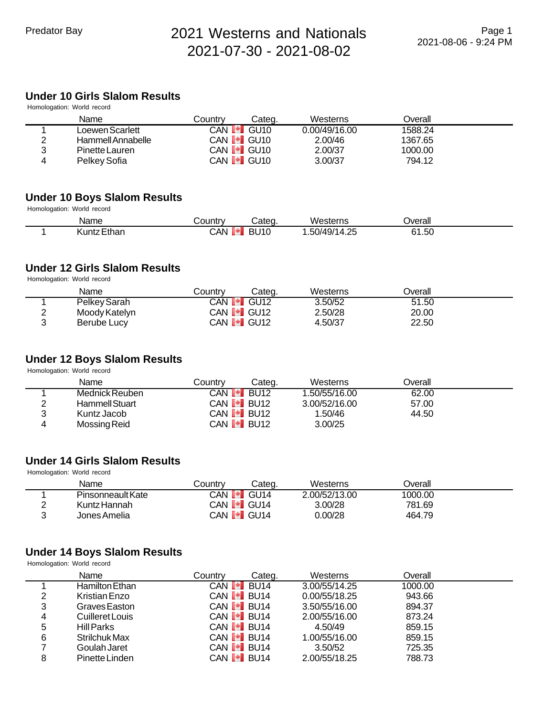# **Under 10 Girls Slalom Results**

| Homologation: World record |                       |                     |        |               |         |  |
|----------------------------|-----------------------|---------------------|--------|---------------|---------|--|
|                            | Name                  | Countrv             | Categ. | Westerns      | Overall |  |
|                            | Loewen Scarlett       | CAN <b>I*I</b>      | GU10   | 0.00/49/16.00 | 1588.24 |  |
| റ                          | Hammell Annabelle     | CAN <b>I≁I</b> GU10 |        | 2.00/46       | 1367.65 |  |
| ว                          | <b>Pinette Lauren</b> | CAN <b>I.</b> GU10  |        | 2.00/37       | 1000.00 |  |
| 4                          | Pelkey Sofia          | CAN <b>I.</b> GU10  |        | 3.00/37       | 794.12  |  |

# **Under 10 Boys Slalom Results**

Homologation: World record

| <b>Name</b>     | Countr    | ∶ate∩                        | Westerns                                                        | Overall      |
|-----------------|-----------|------------------------------|-----------------------------------------------------------------|--------------|
| ∶Ethar<br>Kuntz | .XAV<br>ш | ۱۱ <i>۱۲</i> ام<br>ו ט<br>5U | $ -$<br>OE.<br>.50/49/1<br>ΊΔΙ<br>$\overline{\phantom{a}}$<br>. | $-$<br>61.50 |

### **Under 12 Girls Slalom Results**

Homologation: World record

|          | Name          | Country           | Cateɑ.            | Westerns | <b>Dverall</b> |  |
|----------|---------------|-------------------|-------------------|----------|----------------|--|
|          | Pelkey Sarah  | CAN <b>[≁]</b>    | GU12              | 3.50/52  | 51.50          |  |
| <u>_</u> | Moody Katelyn | CAN <b>I</b> GU12 |                   | 2.50/28  | 20.00          |  |
|          | Berube Lucy   |                   | CAN <b>I</b> GU12 | 4.50/37  | 22.50          |  |

# **Under 12 Boys Slalom Results**

Homologation: World record

|   | Name           | Countrv        | Categ.              | Westerns      | <b>Dverall</b> |  |
|---|----------------|----------------|---------------------|---------------|----------------|--|
|   | Mednick Reuben | CAN <b>[*]</b> | <b>BU12</b>         | 1.50/55/16.00 | 62.00          |  |
|   | Hammell Stuart |                | CAN <b>I</b> BU12   | 3.00/52/16.00 | 57.00          |  |
| 2 | Kuntz Jacob    |                | CAN <b>[≁]</b> BU12 | 1.50/46       | 44.50          |  |
|   | Mossing Reid   |                | CAN <b>I</b> BU12   | 3.00/25       |                |  |

# **Under 14 Girls Slalom Results**

Homologation: World record

|   | Name              | Countr∨ | Cateɑ.                         | Westerns      | <b>Dverall</b> |  |
|---|-------------------|---------|--------------------------------|---------------|----------------|--|
|   | Pinsonneault Kate | CAN I*I | GU14                           | 2.00/52/13.00 | 1000.00        |  |
|   | Kuntz Hannah      |         | CAN <b>I.</b> GU14             | 3.00/28       | 781.69         |  |
| ◠ | Jones Amelia      |         | CAN <b>I<sup>•</sup>I</b> GU14 | ).00/28       | 464.79         |  |

#### **Under 14 Boys Slalom Results**

|   | Name            | Countrv | Categ.                         | Westerns      | Overall |  |
|---|-----------------|---------|--------------------------------|---------------|---------|--|
|   | Hamilton Ethan  |         | CAN <b>I<sup>⊌</sup>I</b> BU14 | 3.00/55/14.25 | 1000.00 |  |
| 2 | Kristian Enzo   |         | CAN <b>I</b> BU14              | 0.00/55/18.25 | 943.66  |  |
| 3 | Graves Easton   |         | CAN $\blacksquare$ BU14        | 3.50/55/16.00 | 894.37  |  |
| 4 | Cuilleret Louis |         | CAN <b>I</b> BU14              | 2.00/55/16.00 | 873.24  |  |
| 5 | Hill Parks      |         | CAN <b>I</b> BU14              | 4.50/49       | 859.15  |  |
| 6 | Strilchuk Max   |         | CAN $\bullet$ BU14             | 1.00/55/16.00 | 859.15  |  |
|   | Goulah Jaret    |         | CAN $\bullet$ BU14             | 3.50/52       | 725.35  |  |
| 8 | Pinette Linden  |         | CAN $\blacksquare$ BU14        | 2.00/55/18.25 | 788.73  |  |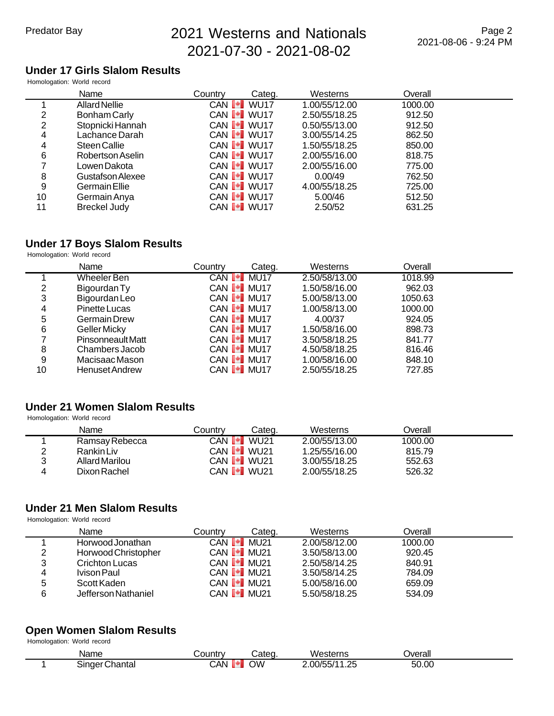# **Under 17 Girls Slalom Results**

Homologation: World record

|    | Name                 | Country                        | Categ. | Westerns      | Overall |
|----|----------------------|--------------------------------|--------|---------------|---------|
|    | <b>Allard Nellie</b> | CAN <b>I<sup>+</sup>I</b> WU17 |        | 1.00/55/12.00 | 1000.00 |
| 2  | <b>Bonham Carly</b>  | CAN <b>I</b> WU17              |        | 2.50/55/18.25 | 912.50  |
| 2  | Stopnicki Hannah     | CAN VU17                       |        | 0.50/55/13.00 | 912.50  |
| 4  | Lachance Darah       | CAN <b>I</b> WU17              |        | 3.00/55/14.25 | 862.50  |
| 4  | Steen Callie         | CAN <b>I</b> WU17              |        | 1.50/55/18.25 | 850.00  |
| 6  | Robertson Aselin     | CAN <b>I</b> WU17              |        | 2.00/55/16.00 | 818.75  |
|    | Lowen Dakota         | CAN <b>I</b> WU17              |        | 2.00/55/16.00 | 775.00  |
| 8  | Gustafson Alexee     | CAN <b>I</b> WU17              |        | 0.00/49       | 762.50  |
| 9  | <b>Germain Ellie</b> | CAN <b>I</b> WU17              |        | 4.00/55/18.25 | 725.00  |
| 10 | Germain Anya         | CAN <b>I</b> WU17              |        | 5.00/46       | 512.50  |
| 11 | <b>Breckel Judy</b>  | CAN <b>I</b> WU17              |        | 2.50/52       | 631.25  |

# **Under 17 Boys Slalom Results**

Homologation: World record

|    | Name                  | Countrv | Categ.              | Westerns      | Overall |  |
|----|-----------------------|---------|---------------------|---------------|---------|--|
|    | <b>Wheeler Ben</b>    |         | CAN <b>I</b> MU17   | 2.50/58/13.00 | 1018.99 |  |
| 2  | Bigourdan Ty          |         | CAN <b>I</b> MU17   | 1.50/58/16.00 | 962.03  |  |
| 3  | Bigourdan Leo         |         | CAN <b>I I</b> MU17 | 5.00/58/13.00 | 1050.63 |  |
| 4  | Pinette Lucas         |         | CAN <b>I</b> MU17   | 1.00/58/13.00 | 1000.00 |  |
| 5  | Germain Drew          |         | CAN <b>I I</b> MU17 | 4.00/37       | 924.05  |  |
| 6  | Geller Micky          |         | CAN <b>I-I</b> MU17 | 1.50/58/16.00 | 898.73  |  |
|    | Pinsonneault Matt     |         | CAN <b>I</b> MU17   | 3.50/58/18.25 | 841.77  |  |
| 8  | Chambers Jacob        |         | CAN <b>I</b> MU17   | 4.50/58/18.25 | 816.46  |  |
| 9  | Macisaac Mason        |         | CAN <b>I</b> MU17   | 1.00/58/16.00 | 848.10  |  |
| 10 | <b>Henuset Andrew</b> |         | CAN <b>I I</b> MU17 | 2.50/55/18.25 | 727.85  |  |

# **Under 21 Women Slalom Results**

Homologation: World record

|   | Name           | Countrv                                                     | Categ.                    | Westerns      | Dverall |  |
|---|----------------|-------------------------------------------------------------|---------------------------|---------------|---------|--|
|   | Ramsay Rebecca |                                                             | CAN I <sup>∎</sup> I WU21 | 2.00/55/13.00 | 1000.00 |  |
|   | Rankin Liv     | CAN $\begin{bmatrix} \bullet \\ \bullet \end{bmatrix}$ WU21 |                           | 1.25/55/16.00 | 815.79  |  |
| າ | Allard Marilou |                                                             | CAN <b>I •I</b> WU21      | 3.00/55/18.25 | 552.63  |  |
|   | Dixon Rachel   | CAN <b>I</b> WU21                                           |                           | 2.00/55/18.25 | 526.32  |  |

# **Under 21 Men Slalom Results**

Homologation: World record

|   | Name                | Countrv | Cateɑ.                  | Westerns      | Overall |  |
|---|---------------------|---------|-------------------------|---------------|---------|--|
|   | Horwood Jonathan    |         | CAN $\blacksquare$ MU21 | 2.00/58/12.00 | 1000.00 |  |
| 2 | Horwood Christopher |         | CAN <b>I</b> MU21       | 3.50/58/13.00 | 920.45  |  |
| 3 | Crichton Lucas      |         | CAN <b>I</b> MU21       | 2.50/58/14.25 | 840.91  |  |
| 4 | Ivison Paul         |         | CAN <b>I</b> I MU21     | 3.50/58/14.25 | 784.09  |  |
| 5 | Scott Kaden         |         | CAN <b>I I</b> MU21     | 5.00/58/16.00 | 659.09  |  |
| 6 | Jefferson Nathaniel |         | CAN <b>I</b> MU21       | 5.50/58/18.25 | 534.09  |  |

# **Open Women Slalom Results**

| Name              | じ0untry | -<br>∴ateα | Westerns                        | Overall |  |
|-------------------|---------|------------|---------------------------------|---------|--|
| Chantal<br>onderد | ش.      | ωw         | 2.00/55/1<br>つに<br>. . <u>.</u> | 50.00   |  |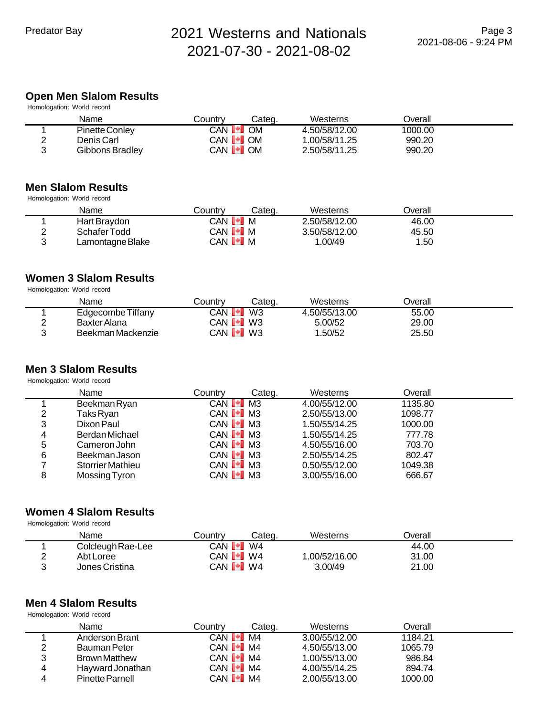# **Open Men Slalom Results**

| Homologation: World record |                 |                    |           |               |         |  |  |  |  |
|----------------------------|-----------------|--------------------|-----------|---------------|---------|--|--|--|--|
|                            | Name            | Countrv            | Categ.    | Westerns      | Overall |  |  |  |  |
|                            | Pinette Conley  | CAN <b>I*I</b>     | <b>OM</b> | 4.50/58/12.00 | 1000.00 |  |  |  |  |
| ◠                          | Denis Carl      | CAN <b>I •I</b> OM |           | 1.00/58/11.25 | 990.20  |  |  |  |  |
| ◠                          | Gibbons Bradley | CAN <b>I</b> OM    |           | 2.50/58/11.25 | 990.20  |  |  |  |  |

### **Men Slalom Results**

Homologation: World record

|   | Name             | Countrv                     | Categ. | Westerns      | <b>Dverall</b> |  |
|---|------------------|-----------------------------|--------|---------------|----------------|--|
|   | Hart Braydon     | CAN D <sup>∎</sup> IM       |        | 2.50/58/12.00 | 46.00          |  |
|   | Schafer Todd     | CAN <b>I *</b> M            |        | 3.50/58/12.00 | 45.50          |  |
| ◠ | Lamontagne Blake | CAN <b>I<sup>+</sup>I</b> M |        | 1.00/49       | 1.50           |  |

### **Women 3 Slalom Results**

Homologation: World record

|   | Name              | Country            | Categ. | Westerns      | ⊃verall |  |
|---|-------------------|--------------------|--------|---------------|---------|--|
|   | Edgecombe Tiffany | <b>CAN I.</b>      | W3     | 4.50/55/13.00 | 55.00   |  |
| ◠ | Baxter Alana      | CAN <b>I *I</b> W3 |        | 5.00/52       | 29.00   |  |
| ◠ | Beekman Mackenzie | CAN <b>I</b> W3    |        | .50/52        | 25.50   |  |

# **Men 3 Slalom Results**

Homologation: World record

|   | Name                    | Countrv               | Categ. | Westerns      | Overall |  |
|---|-------------------------|-----------------------|--------|---------------|---------|--|
|   | Beekman Ryan            | CAN <b>I</b> M3       |        | 4.00/55/12.00 | 1135.80 |  |
| 2 | Taks Ryan               | CAN <b>I</b> M3       |        | 2.50/55/13.00 | 1098.77 |  |
| 3 | Dixon Paul              | CAN <b>I</b> M3       |        | 1.50/55/14.25 | 1000.00 |  |
| 4 | Berdan Michael          | CAN <b>I</b> I M3     |        | 1.50/55/14.25 | 777.78  |  |
| 5 | Cameron John            | CAN <b>I</b> M3       |        | 4.50/55/16.00 | 703.70  |  |
| 6 | Beekman Jason           | CAN <b>I</b> M3       |        | 2.50/55/14.25 | 802.47  |  |
|   | <b>Storrier Mathieu</b> | CAN $\blacksquare$ M3 |        | 0.50/55/12.00 | 1049.38 |  |
| 8 | Mossing Tyron           | CAN <b>I</b> M3       |        | 3.00/55/16.00 | 666.67  |  |

#### **Women 4 Slalom Results** Homologation: World record

| Name              | Countrv                      | Categ. | Westerns     | ⊃verall |  |
|-------------------|------------------------------|--------|--------------|---------|--|
| Colcleugh Rae-Lee | CAN <b>[*]</b>               | W4     |              | 44.00   |  |
| Abt Loree         | CAN <b>I</b> W4              |        | .00/52/16.00 | 31.00   |  |
| Jones Cristina    | CAN <b>I<sup>●</sup>I</b> W4 |        | 3.00/49      | 21.00   |  |

#### **Men 4 Slalom Results** Homologation: World record

|   | Name                   | Countrv               | Categ. | Westerns      | Overall |  |
|---|------------------------|-----------------------|--------|---------------|---------|--|
|   | Anderson Brant         | CAN <b>I</b> M4       |        | 3.00/55/12.00 | 1184.21 |  |
| ⌒ | <b>Bauman Peter</b>    | CAN $\blacksquare$ M4 |        | 4.50/55/13.00 | 1065.79 |  |
| 2 | <b>Brown Matthew</b>   | CAN $\blacksquare$ M4 |        | 1.00/55/13.00 | 986.84  |  |
| 4 | Hayward Jonathan       | $CAN$ $M$ $M4$        |        | 4.00/55/14.25 | 894.74  |  |
| 4 | <b>Pinette Parnell</b> | CAN $\blacksquare$ M4 |        | 2.00/55/13.00 | 1000.00 |  |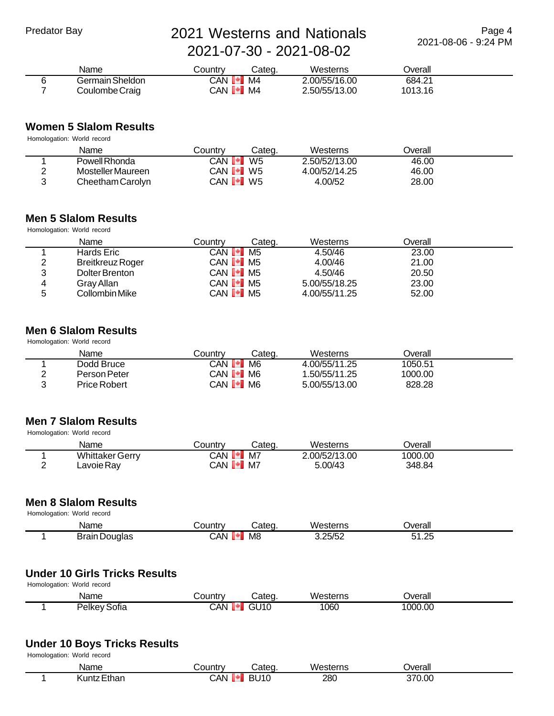Page 4 2021-08-06 - 9:24 PM

| Name            | こountrv                        | Categ. | Westerns      | Jverall |  |
|-----------------|--------------------------------|--------|---------------|---------|--|
| Germain Sheldon | CAN <b>[*]</b>                 | M4     | 2.00/55/16.00 | 684.21  |  |
| Coulombe Craig  | CAN <b>I</b> <sup>+</sup> I M4 |        | 2.50/55/13.00 | 1013.16 |  |

# **Women 5 Slalom Results**

| Name              | Countrv        | Categ.         | Westerns      | <b>Dverall</b> |  |
|-------------------|----------------|----------------|---------------|----------------|--|
| Powell Rhonda     | CAN <b>[*]</b> | W <sub>5</sub> | 2.50/52/13.00 | 46.00          |  |
| Mosteller Maureen | CAN <b>[*]</b> | W5             | 4.00/52/14.25 | 46.00          |  |
| Cheetham Carolyn  | CAN <b>[≁]</b> | W5             | 4.00/52       | 28.00          |  |

# **Men 5 Slalom Results**

Homologation: World record

|   | Name                    | Countrv                      | Cateɑ. | Westerns      | Overall |  |
|---|-------------------------|------------------------------|--------|---------------|---------|--|
|   | Hards Eric              | CAN <sup>1•1</sup> M5        |        | 4.50/46       | 23.00   |  |
| 2 | <b>Breitkreuz Roger</b> | CAN <b>I</b> <sup>I</sup> M5 |        | 4.00/46       | 21.00   |  |
| 3 | Dolter Brenton          | CAN <sup>1</sup> M5          |        | 4.50/46       | 20.50   |  |
| 4 | Gray Allan              | CAN <b>I</b> <sup>I</sup> M5 |        | 5.00/55/18.25 | 23.00   |  |
| 5 | Collombin Mike          | CAN <b>I</b> <sup>I</sup> M5 |        | 4.00/55/11.25 | 52.00   |  |

#### **Men 6 Slalom Results** Homologation: World record

| Name         | Categ.<br>Countrv    | Westerns      | Overall |
|--------------|----------------------|---------------|---------|
| Dodd Bruce   | CAN <b>[*]</b><br>M6 | 4.00/55/11.25 | 1050.51 |
| Person Peter | CAN <b>[*]</b> M6    | 1.50/55/11.25 | 1000.00 |
| Price Robert | CAN <b>[*]</b> M6    | 5.00/55/13.00 | 828.28  |
|              |                      |               |         |

# **Men 7 Slalom Results**

| Homologation: World record |        |
|----------------------------|--------|
| Nomo                       | $\sim$ |

| Name                   | ountryـ                   | Cated | Westerns      | Jverall |  |
|------------------------|---------------------------|-------|---------------|---------|--|
| <b>Whittaker Gerry</b> | <b>CAN</b><br><b>TERR</b> | M7    | 2.00/52/13.00 | 1000.00 |  |
| Lavoie Ray             | CAN <sup>I+</sup>         | M7    | 5.00/43       | 348.84  |  |

# **Men 8 Slalom Results**

 Homologation: World record Name Country Categ. Westerns Overall 1 Brain Douglas CAN M8 3.25/52 51.25

#### **Under 10 Girls Tricks Results** Homologation: World record

| Homologation. vvonu record |              |                |        |          |         |
|----------------------------|--------------|----------------|--------|----------|---------|
|                            | Name         | こountrv        | Categ. | Westerns | Jverall |
|                            | Pelkey Sofia | CAN <b>[*]</b> | GU10   | 1060     | 1000.00 |

# **Under 10 Boys Tricks Results**

| Homologation: World record |  |  |
|----------------------------|--|--|
|----------------------------|--|--|

| Name  | `ountrv  | `ot∆∩     | . .<br>Western<br>sterns | ⊃verall                |  |
|-------|----------|-----------|--------------------------|------------------------|--|
| ≞thar | شد.<br>œ | nι<br>ιч. | 280                      | 271<br>$\sim$<br>70.OC |  |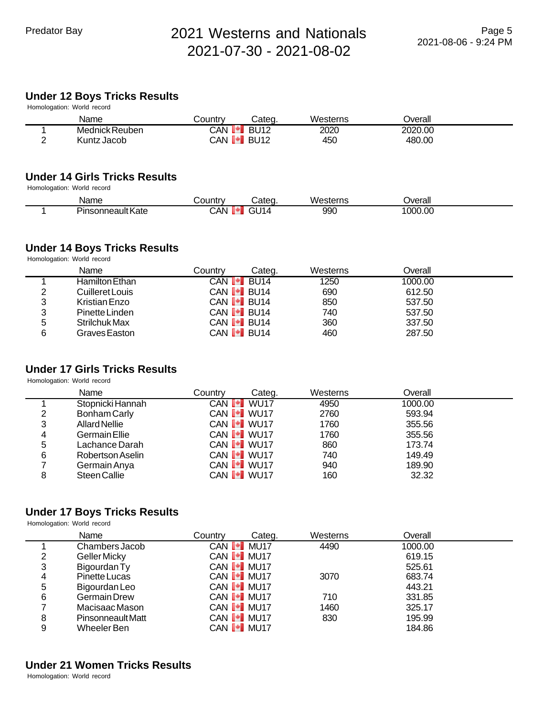# **Under 12 Boys Tricks Results**

|        | Homologation: World record |                                |        |          |                |  |
|--------|----------------------------|--------------------------------|--------|----------|----------------|--|
|        | Name                       | Countrv                        | Categ. | Westerns | <b>Dverall</b> |  |
|        | Mednick Reuben             | CAN <b>I<sup>t</sup>l</b> BU12 |        | 2020     | 2020.00        |  |
| $\sim$ | Kuntz Jacob                | CAN <b>I</b> BU12              |        | 450      | 480.00         |  |
|        |                            |                                |        |          |                |  |

## **Under 14 Girls Tricks Results**

Homologation: World record

| Name                     | ountr∨ٽ | شateα                   | .<br>Westerns | Overall |  |
|--------------------------|---------|-------------------------|---------------|---------|--|
| - -<br>Pinsonneault Kate | 7.AN    | - 14<br><br>IΔ<br>1 – I | 990           | 1000.00 |  |

# **Under 14 Boys Tricks Results**

Homologation: World record

|   | Name            | Countrv | Cateɑ.              | Westerns | Overall |  |
|---|-----------------|---------|---------------------|----------|---------|--|
|   | Hamilton Ethan  |         | CAN <b>I≁I</b> BU14 | 1250     | 1000.00 |  |
| 2 | Cuilleret Louis |         | CAN <b>[≁]</b> BU14 | 690      | 612.50  |  |
| 3 | Kristian Enzo   |         | CAN <b>I</b> BU14   | 850      | 537.50  |  |
| 3 | Pinette Linden  |         | CAN <b>I</b> BU14   | 740      | 537.50  |  |
| 5 | Strilchuk Max   |         | CAN <b>I</b> BU14   | 360      | 337.50  |  |
| 6 | Graves Easton   |         | CAN <b>I</b> BU14   | 460      | 287.50  |  |

# **Under 17 Girls Tricks Results**

Homologation: World record

|   | Name                 | Countrv | Categ.                         | Westerns | Overall |  |
|---|----------------------|---------|--------------------------------|----------|---------|--|
|   | Stopnicki Hannah     |         | CAN <b>I</b> WU17              | 4950     | 1000.00 |  |
| 2 | Bonham Carly         |         | CAN <b>I<sup>+</sup>I</b> WU17 | 2760     | 593.94  |  |
| 3 | <b>Allard Nellie</b> |         | CAN <b>I</b> WU17              | 1760     | 355.56  |  |
| 4 | <b>Germain Ellie</b> |         | CAN VU17                       | 1760     | 355.56  |  |
| 5 | Lachance Darah       |         | CAN <b>I</b> WU17              | 860      | 173.74  |  |
| 6 | Robertson Aselin     |         | CAN <b>I</b> WU17              | 740      | 149.49  |  |
|   | Germain Anya         |         | CAN <b>I</b> WU17              | 940      | 189.90  |  |
| 8 | Steen Callie         |         | CAN VU17                       | 160      | 32.32   |  |

### **Under 17 Boys Tricks Results**

Homologation: World record

|   | Name                     | Countrv | Categ.            | Westerns | Overall |  |
|---|--------------------------|---------|-------------------|----------|---------|--|
|   | Chambers Jacob           |         | CAN <b>I</b> MU17 | 4490     | 1000.00 |  |
| 2 | <b>Geller Micky</b>      |         | CAN <b>I</b> MU17 |          | 619.15  |  |
| 3 | Bigourdan Ty             |         | CAN <b>I</b> MU17 |          | 525.61  |  |
| 4 | Pinette Lucas            |         | CAN <b>I</b> MU17 | 3070     | 683.74  |  |
| 5 | Bigourdan Leo            |         | CAN <b>I</b> MU17 |          | 443.21  |  |
| 6 | <b>Germain Drew</b>      |         | CAN <b>I</b> MU17 | 710      | 331.85  |  |
|   | Macisaac Mason           |         | CAN <b>I</b> MU17 | 1460     | 325.17  |  |
| 8 | <b>Pinsonneault Matt</b> |         | CAN <b>I</b> MU17 | 830      | 195.99  |  |
| 9 | Wheeler Ben              |         | CAN <b>I</b> MU17 |          | 184.86  |  |

# **Under 21 Women Tricks Results**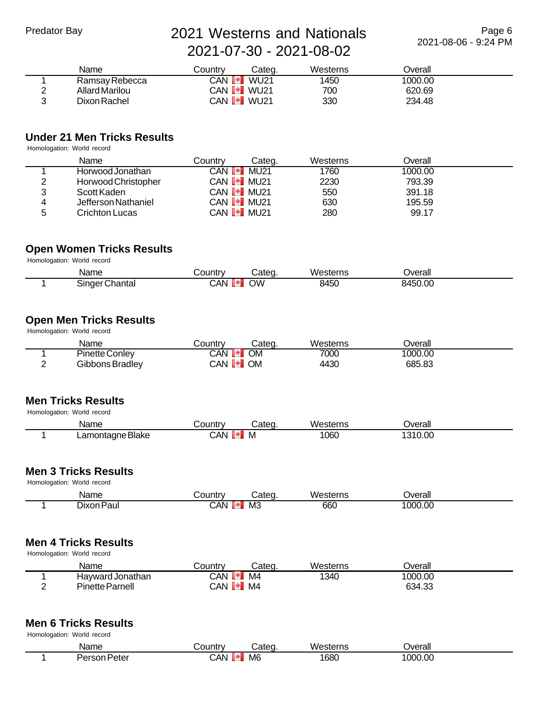Page 6 2021-08-06 - 9:24 PM

|               | Name           | Countrv | Cateɑ.            | Westerns | Overall |  |
|---------------|----------------|---------|-------------------|----------|---------|--|
|               | Ramsay Rebecca | CAN DI  | WU21              | 1450     | 1000.00 |  |
| ◠<br><u>.</u> | Allard Marilou |         | CAN <b>I</b> WU21 | 700      | 620.69  |  |
| 2             | Dixon Rachel   |         | CAN <b>I</b> WU21 | 330      | 234.48  |  |

# **Under 21 Men Tricks Results**

Homologation: World record

|        | Name                | Countrv        | Categ.              | Westerns | <b>Dverall</b> |  |
|--------|---------------------|----------------|---------------------|----------|----------------|--|
|        | Horwood Jonathan    | CAN <b>I≁I</b> | MU 21               | 1760     | 1000.00        |  |
| 2      | Horwood Christopher |                | CAN <b>I I</b> MU21 | 2230     | 793.39         |  |
| າ<br>J | Scott Kaden         |                | CAN <b>I I</b> MU21 | 550      | 391.18         |  |
| 4      | Jefferson Nathaniel |                | CAN <b>I I</b> MU21 | 630      | 195.59         |  |
| 5      | Crichton Lucas      |                | CAN <b>I I</b> MU21 | 280      | 99.17          |  |

### **Open Women Tricks Results**

Homologation: World record

| Name              | ∶ountrv<br>л. | ;ateq | Westerns | Jverall |
|-------------------|---------------|-------|----------|---------|
| Chantal<br>Sinder | CAN           | ואר   | 8450     | 8450.00 |

# **Open Men Tricks Results**

Homologation: World record

| Name            | شountr∨        | Cated     | Westerns | <b>Dverall</b> |  |
|-----------------|----------------|-----------|----------|----------------|--|
| Pinette Conley  | CAN PI         | <b>OM</b> | 7000     | 1000.00        |  |
| Gibbons Bradley | CAN <b>[*]</b> | <b>OM</b> | 4430     | 685.83         |  |

### **Men Tricks Results**

Homologation: World record

| Name             | Country∟ | Categ | Westerns | Jverall |  |
|------------------|----------|-------|----------|---------|--|
| Lamontagne Blake | CAN<br>ш | ΙVΙ   | 060      | 1310.00 |  |

### **Men 3 Tricks Results**

Homologation: World record

| Name          | ้วนntrv | ater: | <b>Western</b><br>.sretne<br>ык | <b>T</b>    |
|---------------|---------|-------|---------------------------------|-------------|
| Paul<br>Jixon | َ ANٺ   | ΜЗ    | 660                             | 000<br>, 00 |

# **Men 4 Tricks Results**

Homologation: World record

| Name                   | شountr∨ | Cated | Westerns | Jverall |  |
|------------------------|---------|-------|----------|---------|--|
| Havward Jonathan       | CAN     | M4    | 1340     | 1000.00 |  |
| - -<br>Pinette Parnell | CAN     | M4    |          | 634.33  |  |

### **Men 6 Tricks Results**

| Name                          | ountry | ;ateα          | Westerns | <br>)verall |  |
|-------------------------------|--------|----------------|----------|-------------|--|
| Peter<br>Pareon<br>– 1<br>ovu | شX.    | M <sub>6</sub> | 1680     | 1000.00     |  |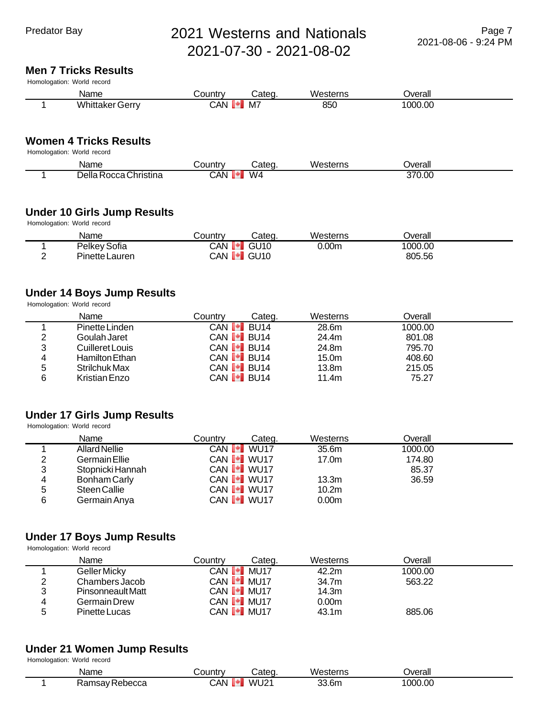#### **Men 7 Tricks Results**

Homologation: World record

| Name                   | Country           | Categ. | Westerns | Overall |  |
|------------------------|-------------------|--------|----------|---------|--|
| <b>Whittaker Gerry</b> | CAN <sup>I-</sup> | M7     | 850      | 1000.00 |  |
|                        |                   |        |          |         |  |

# **Women 4 Tricks Results**

| Homologation: World record |  |  |
|----------------------------|--|--|
|----------------------------|--|--|

| Name                        | تountr∨ | .ateq     | Westerns | <b>Jverall</b> |  |
|-----------------------------|---------|-----------|----------|----------------|--|
| ⊃ella.<br>ı Rocca Christina | CAN     | $M\Delta$ |          | 370.00         |  |

# **Under 10 Girls Jump Results**

Homologation: World record

| Name           | ۔ountryک          | Categ.      | Westerns | Jverall |  |
|----------------|-------------------|-------------|----------|---------|--|
| Pelkey Sofia   | CAN<br><b>THE</b> | <b>GU10</b> | 0.00m    | 1000.00 |  |
| Pinette Lauren | CAN <b>I</b> GU10 |             |          | 805.56  |  |

# **Under 14 Boys Jump Results**

Homologation: World record

|   | Name            | Countrv | Cateɑ.                                 | Westerns          | Overall |  |
|---|-----------------|---------|----------------------------------------|-------------------|---------|--|
|   | Pinette Linden  |         | CAN <b>I</b> BU14                      | 28.6m             | 1000.00 |  |
| 2 | Goulah Jaret    |         | CAN <b>I</b> BU14                      | 24.4m             | 801.08  |  |
| 3 | Cuilleret Louis |         | CAN <b>I</b> BU14                      | 24.8m             | 795.70  |  |
| 4 | Hamilton Ethan  |         | CAN $\llbracket \cdot \rrbracket$ BU14 | 15.0m             | 408.60  |  |
| 5 | Strilchuk Max   |         | CAN <b>[*]</b> BU14                    | 13.8 <sub>m</sub> | 215.05  |  |
| 6 | Kristian Enzo   |         | CAN <b>I</b> BU <sub>14</sub>          | 11.4m             | 75.27   |  |

# **Under 17 Girls Jump Results**

Homologation: World record

|   | Name                 | Countrv | Categ.                         | Westerns          | Overall |  |
|---|----------------------|---------|--------------------------------|-------------------|---------|--|
|   | <b>Allard Nellie</b> |         | CAN <b>I</b> WU17              | 35.6m             | 1000.00 |  |
| 2 | Germain Ellie        |         | CAN <b>I</b> WU17              | 17.0 <sub>m</sub> | 174.80  |  |
| 3 | Stopnicki Hannah     |         | CAN <b>I</b> WU17              |                   | 85.37   |  |
| 4 | Bonham Carly         |         | CAN <b>I</b> WU17              | 13.3m             | 36.59   |  |
| 5 | Steen Callie         |         | CAN <b>I<sup>+</sup>I</b> WU17 | 10.2 <sub>m</sub> |         |  |
| 6 | Germain Anya         |         | CAN <b>I</b> WU17              | 0.00 <sub>m</sub> |         |  |

## **Under 17 Boys Jump Results**

Homologation: World record

|   | Name              | Countrv | Cateɑ.              | Westerns | Overall |  |
|---|-------------------|---------|---------------------|----------|---------|--|
|   | Geller Micky      |         | CAN <b>I I</b> MU17 | 42.2m    | 1000.00 |  |
| ▃ | Chambers Jacob    |         | CAN <b>I</b> MU17   | 34.7m    | 563.22  |  |
| າ | Pinsonneault Matt |         | CAN <b>I I</b> MU17 | 14.3m    |         |  |
| 4 | Germain Drew      |         | CAN <b>I</b> MU17   | 0.00m    |         |  |
| ∽ | Pinette Lucas     |         | CAN <b>I I</b> MU17 | 43.1m    | 885.06  |  |

# **Under 21 Women Jump Results**

| <b>Name</b>                         | ountrv | . $\neg$ to $\sim$ | . .<br>5.010000<br>vv.<br>'esterns | )verall    |  |
|-------------------------------------|--------|--------------------|------------------------------------|------------|--|
| ,,,,,,,,<br>/ Rebecca<br>152V<br>.a | ∴AN ′  | WU21<br>_____      | 33.6m<br>- - -                     | 000<br>,00 |  |